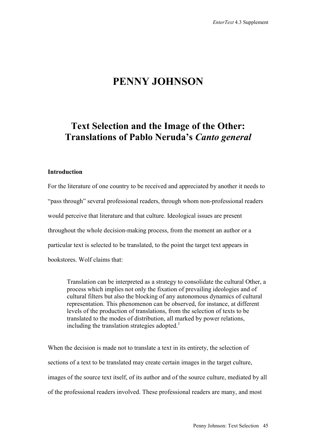# **PENNY JOHNSON**

## **Text Selection and the Image of the Other: Translations of Pablo Neruda's** *Canto general*

#### **Introduction**

For the literature of one country to be received and appreciated by another it needs to "pass through" several professional readers, through whom non-professional readers would perceive that literature and that culture. Ideological issues are present throughout the whole decision-making process, from the moment an author or a particular text is selected to be translated, to the point the target text appears in bookstores. Wolf claims that:

Translation can be interpreted as a strategy to consolidate the cultural Other, a process which implies not only the fixation of prevailing ideologies and of cultural filters but also the blocking of any autonomous dynamics of cultural representation. This phenomenon can be observed, for instance, at different levels of the production of translations, from the selection of texts to be translated to the modes of distribution, all marked by power relations, including the translation strategies adopted.<sup>1</sup>

When the decision is made not to translate a text in its entirety, the selection of sections of a text to be translated may create certain images in the target culture, images of the source text itself, of its author and of the source culture, mediated by all of the professional readers involved. These professional readers are many, and most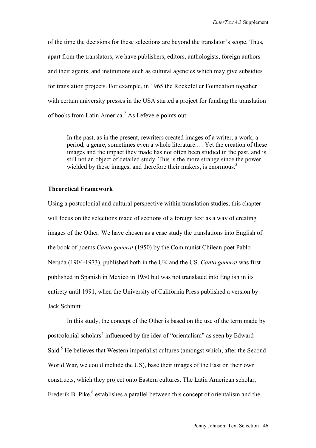of the time the decisions for these selections are beyond the translator's scope. Thus, apart from the translators, we have publishers, editors, anthologists, foreign authors and their agents, and institutions such as cultural agencies which may give subsidies for translation projects. For example, in 1965 the Rockefeller Foundation together with certain university presses in the USA started a project for funding the translation of books from Latin America.<sup>2</sup> As Lefevere points out:

In the past, as in the present, rewriters created images of a writer, a work, a period, a genre, sometimes even a whole literature.… Yet the creation of these images and the impact they made has not often been studied in the past, and is still not an object of detailed study. This is the more strange since the power wielded by these images, and therefore their makers, is enormous.<sup>3</sup>

#### **Theoretical Framework**

Using a postcolonial and cultural perspective within translation studies, this chapter will focus on the selections made of sections of a foreign text as a way of creating images of the Other. We have chosen as a case study the translations into English of the book of poems *Canto general* (1950) by the Communist Chilean poet Pablo Neruda (1904-1973), published both in the UK and the US. *Canto general* was first published in Spanish in Mexico in 1950 but was not translated into English in its entirety until 1991, when the University of California Press published a version by Jack Schmitt.

In this study, the concept of the Other is based on the use of the term made by postcolonial scholars<sup>4</sup> influenced by the idea of "orientalism" as seen by Edward Said.<sup>5</sup> He believes that Western imperialist cultures (amongst which, after the Second World War, we could include the US), base their images of the East on their own constructs, which they project onto Eastern cultures. The Latin American scholar, Frederik B. Pike, <sup>6</sup> establishes a parallel between this concept of orientalism and the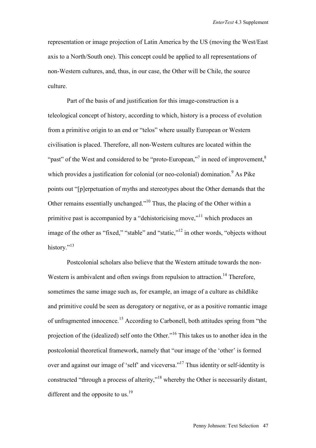representation or image projection of Latin America by the US (moving the West/East axis to a North/South one). This concept could be applied to all representations of non-Western cultures, and, thus, in our case, the Other will be Chile, the source culture.

Part of the basis of and justification for this image-construction is a teleological concept of history, according to which, history is a process of evolution from a primitive origin to an end or "telos" where usually European or Western civilisation is placed. Therefore, all non-Western cultures are located within the "past" of the West and considered to be "proto-European,"<sup>7</sup> in need of improvement,  $8$ which provides a justification for colonial (or neo-colonial) domination.<sup>9</sup> As Pike points out "[p]erpetuation of myths and stereotypes about the Other demands that the Other remains essentially unchanged."10 Thus, the placing of the Other within a primitive past is accompanied by a "dehistoricising move,"<sup>11</sup> which produces an image of the other as "fixed," "stable" and "static,"<sup>12</sup> in other words, "objects without history."<sup>13</sup>

Postcolonial scholars also believe that the Western attitude towards the non-Western is ambivalent and often swings from repulsion to attraction.<sup>14</sup> Therefore, sometimes the same image such as, for example, an image of a culture as childlike and primitive could be seen as derogatory or negative, or as a positive romantic image of unfragmented innocence.15 According to Carbonell, both attitudes spring from "the projection of the (idealized) self onto the Other."16 This takes us to another idea in the postcolonial theoretical framework, namely that "our image of the 'other' is formed over and against our image of 'self' and viceversa."<sup>17</sup> Thus identity or self-identity is constructed "through a process of alterity,"18 whereby the Other is necessarily distant, different and the opposite to us.<sup>19</sup>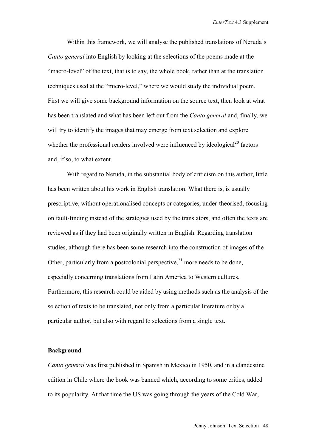Within this framework, we will analyse the published translations of Neruda's *Canto general* into English by looking at the selections of the poems made at the "macro-level" of the text, that is to say, the whole book, rather than at the translation techniques used at the "micro-level," where we would study the individual poem. First we will give some background information on the source text, then look at what has been translated and what has been left out from the *Canto general* and, finally, we will try to identify the images that may emerge from text selection and explore whether the professional readers involved were influenced by ideological<sup>20</sup> factors and, if so, to what extent.

With regard to Neruda, in the substantial body of criticism on this author, little has been written about his work in English translation. What there is, is usually prescriptive, without operationalised concepts or categories, under-theorised, focusing on fault-finding instead of the strategies used by the translators, and often the texts are reviewed as if they had been originally written in English. Regarding translation studies, although there has been some research into the construction of images of the Other, particularly from a postcolonial perspective, $2<sup>1</sup>$  more needs to be done, especially concerning translations from Latin America to Western cultures. Furthermore, this research could be aided by using methods such as the analysis of the selection of texts to be translated, not only from a particular literature or by a particular author, but also with regard to selections from a single text.

#### **Background**

*Canto general* was first published in Spanish in Mexico in 1950, and in a clandestine edition in Chile where the book was banned which, according to some critics, added to its popularity. At that time the US was going through the years of the Cold War,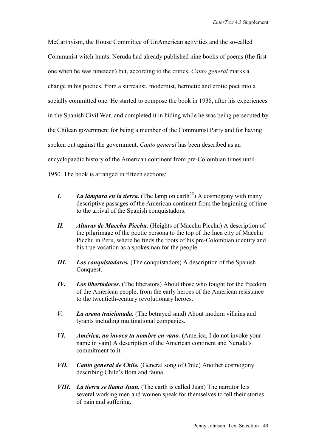McCarthyism, the House Committee of UnAmerican activities and the so-called Communist witch-hunts. Neruda had already published nine books of poems (the first one when he was nineteen) but, according to the critics, *Canto general* marks a change in his poetics, from a surrealist, modernist, hermetic and erotic poet into a socially committed one. He started to compose the book in 1938, after his experiences in the Spanish Civil War, and completed it in hiding while he was being persecuted by the Chilean government for being a member of the Communist Party and for having spoken out against the government. *Canto general* has been described as an encyclopaedic history of the American continent from pre-Colombian times until 1950. The book is arranged in fifteen sections:

- *I. La lámpara en la tierra.* (The lamp on earth<sup>22</sup>) A cosmogony with many descriptive passages of the American continent from the beginning of time to the arrival of the Spanish conquistadors.
- *II. Alturas de Macchu Picchu.* (Heights of Macchu Picchu) A description of the pilgrimage of the poetic persona to the top of the Inca city of Macchu Picchu in Peru, where he finds the roots of his pre-Colombian identity and his true vocation as a spokesman for the people.
- *III. Los conquistadores.* (The conquistadors) A description of the Spanish Conquest.
- *IV. Los libertadores.* (The liberators) About those who fought for the freedom of the American people, from the early heroes of the American resistance to the twentieth-century revolutionary heroes.
- *V. La arena traicionada.* (The betrayed sand) About modern villains and tyrants including multinational companies.
- *VI. América, no invoco tu nombre en vano.* (America, I do not invoke your name in vain) A description of the American continent and Neruda's commitment to it.
- *VII. Canto general de Chile.* (General song of Chile) Another cosmogony describing Chile's flora and fauna.
- *VIII. La tierra se llama Juan.* (The earth is called Juan) The narrator lets several working men and women speak for themselves to tell their stories of pain and suffering.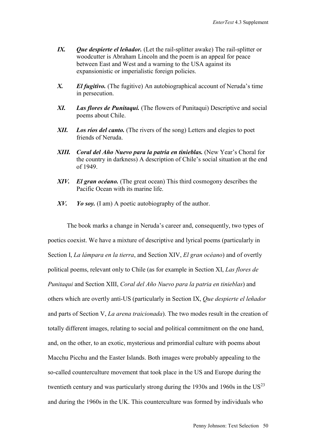- *IX. Que despierte el leñador.* (Let the rail-splitter awake) The rail-splitter or woodcutter is Abraham Lincoln and the poem is an appeal for peace between East and West and a warning to the USA against its expansionistic or imperialistic foreign policies.
- *X. El fugitivo.* (The fugitive) An autobiographical account of Neruda's time in persecution.
- *XI. Las flores de Punitaqui.* (The flowers of Punitaqui) Descriptive and social poems about Chile.
- *XII. Los ríos del canto.* (The rivers of the song) Letters and elegies to poet friends of Neruda.
- *XIII. Coral del Año Nuevo para la patria en tinieblas.* (New Year's Choral for the country in darkness) A description of Chile's social situation at the end of 1949.
- *XIV. El gran océano.* (The great ocean) This third cosmogony describes the Pacific Ocean with its marine life.
- *XV. Yo soy.* (I am) A poetic autobiography of the author.

The book marks a change in Neruda's career and, consequently, two types of poetics coexist. We have a mixture of descriptive and lyrical poems (particularly in Section I, *La lámpara en la tierra*, and Section XIV, *El gran océano*) and of overtly political poems, relevant only to Chile (as for example in Section XI, *Las flores de Punitaqui* and Section XIII, *Coral del Año Nuevo para la patria en tinieblas*) and others which are overtly anti-US (particularly in Section IX, *Que despierte el leñador* and parts of Section V, *La arena traicionada*). The two modes result in the creation of totally different images, relating to social and political commitment on the one hand, and, on the other, to an exotic, mysterious and primordial culture with poems about Macchu Picchu and the Easter Islands. Both images were probably appealing to the so-called counterculture movement that took place in the US and Europe during the twentieth century and was particularly strong during the 1930s and 1960s in the  $US^{23}$ and during the 1960s in the UK. This counterculture was formed by individuals who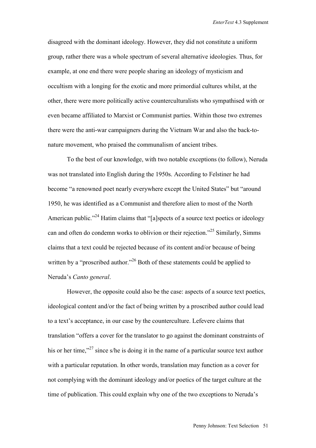disagreed with the dominant ideology. However, they did not constitute a uniform group, rather there was a whole spectrum of several alternative ideologies. Thus, for example, at one end there were people sharing an ideology of mysticism and occultism with a longing for the exotic and more primordial cultures whilst, at the other, there were more politically active counterculturalists who sympathised with or even became affiliated to Marxist or Communist parties. Within those two extremes there were the anti-war campaigners during the Vietnam War and also the back-tonature movement, who praised the communalism of ancient tribes.

To the best of our knowledge, with two notable exceptions (to follow), Neruda was not translated into English during the 1950s. According to Felstiner he had become "a renowned poet nearly everywhere except the United States" but "around 1950, he was identified as a Communist and therefore alien to most of the North American public."<sup>24</sup> Hatim claims that "[a]spects of a source text poetics or ideology can and often do condemn works to oblivion or their rejection."25 Similarly, Simms claims that a text could be rejected because of its content and/or because of being written by a "proscribed author."<sup>26</sup> Both of these statements could be applied to Neruda's *Canto general*.

However, the opposite could also be the case: aspects of a source text poetics, ideological content and/or the fact of being written by a proscribed author could lead to a text's acceptance, in our case by the counterculture. Lefevere claims that translation "offers a cover for the translator to go against the dominant constraints of his or her time,"<sup>27</sup> since s/he is doing it in the name of a particular source text author with a particular reputation. In other words, translation may function as a cover for not complying with the dominant ideology and/or poetics of the target culture at the time of publication. This could explain why one of the two exceptions to Neruda's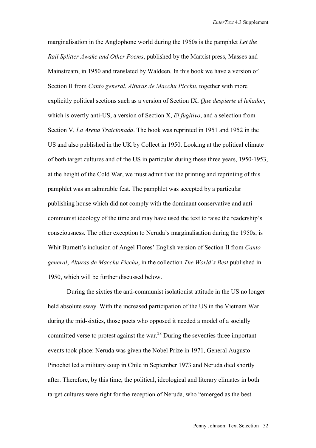marginalisation in the Anglophone world during the 1950s is the pamphlet *Let the Rail Splitter Awake and Other Poems*, published by the Marxist press, Masses and Mainstream, in 1950 and translated by Waldeen. In this book we have a version of Section II from *Canto general*, *Alturas de Macchu Picchu*, together with more explicitly political sections such as a version of Section IX, *Que despierte el leñador*, which is overtly anti-US, a version of Section X, *El fugitivo*, and a selection from Section V, *La Arena Traicionada*. The book was reprinted in 1951 and 1952 in the US and also published in the UK by Collect in 1950. Looking at the political climate of both target cultures and of the US in particular during these three years, 1950-1953, at the height of the Cold War, we must admit that the printing and reprinting of this pamphlet was an admirable feat. The pamphlet was accepted by a particular publishing house which did not comply with the dominant conservative and anticommunist ideology of the time and may have used the text to raise the readership's consciousness. The other exception to Neruda's marginalisation during the 1950s, is Whit Burnett's inclusion of Angel Flores' English version of Section II from *Canto general*, *Alturas de Macchu Picchu*, in the collection *The World's Best* published in 1950, which will be further discussed below.

During the sixties the anti-communist isolationist attitude in the US no longer held absolute sway. With the increased participation of the US in the Vietnam War during the mid-sixties, those poets who opposed it needed a model of a socially committed verse to protest against the war.28 During the seventies three important events took place: Neruda was given the Nobel Prize in 1971, General Augusto Pinochet led a military coup in Chile in September 1973 and Neruda died shortly after. Therefore, by this time, the political, ideological and literary climates in both target cultures were right for the reception of Neruda, who "emerged as the best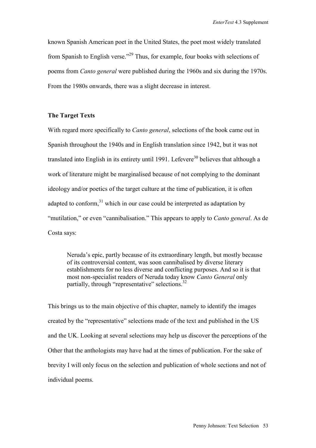known Spanish American poet in the United States, the poet most widely translated from Spanish to English verse."29 Thus, for example, four books with selections of poems from *Canto general* were published during the 1960s and six during the 1970s. From the 1980s onwards, there was a slight decrease in interest.

#### **The Target Texts**

With regard more specifically to *Canto general*, selections of the book came out in Spanish throughout the 1940s and in English translation since 1942, but it was not translated into English in its entirety until 1991. Lefevere<sup>30</sup> believes that although a work of literature might be marginalised because of not complying to the dominant ideology and/or poetics of the target culture at the time of publication, it is often adapted to conform.<sup>31</sup> which in our case could be interpreted as adaptation by "mutilation," or even "cannibalisation." This appears to apply to *Canto general*. As de Costa says:

Neruda's epic, partly because of its extraordinary length, but mostly because of its controversial content, was soon cannibalised by diverse literary establishments for no less diverse and conflicting purposes. And so it is that most non-specialist readers of Neruda today know *Canto General* only partially, through "representative" selections.<sup>32</sup>

This brings us to the main objective of this chapter, namely to identify the images created by the "representative" selections made of the text and published in the US and the UK. Looking at several selections may help us discover the perceptions of the Other that the anthologists may have had at the times of publication. For the sake of brevity I will only focus on the selection and publication of whole sections and not of individual poems.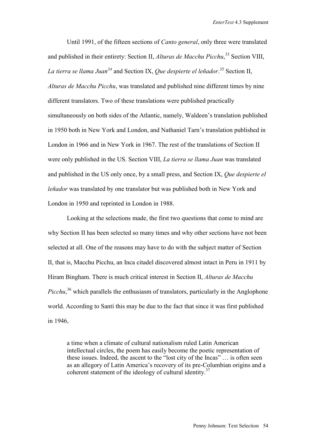Until 1991, of the fifteen sections of *Canto general*, only three were translated and published in their entirety: Section II, *Alturas de Macchu Picchu*, 33 Section VIII, *La tierra se llama Juan34* and Section IX, *Que despierte el leñador*. 35 Section II, *Alturas de Macchu Picchu*, was translated and published nine different times by nine different translators. Two of these translations were published practically simultaneously on both sides of the Atlantic, namely, Waldeen's translation published in 1950 both in New York and London, and Nathaniel Tarn's translation published in London in 1966 and in New York in 1967. The rest of the translations of Section II were only published in the US. Section VIII, *La tierra se llama Juan* was translated and published in the US only once, by a small press, and Section IX, *Que despierte el leñador* was translated by one translator but was published both in New York and London in 1950 and reprinted in London in 1988.

Looking at the selections made, the first two questions that come to mind are why Section II has been selected so many times and why other sections have not been selected at all. One of the reasons may have to do with the subject matter of Section II, that is, Macchu Picchu, an Inca citadel discovered almost intact in Peru in 1911 by Hiram Bingham. There is much critical interest in Section II, *Alturas de Macchu Picchu*,<sup>36</sup> which parallels the enthusiasm of translators, particularly in the Anglophone world. According to Santí this may be due to the fact that since it was first published in 1946,

a time when a climate of cultural nationalism ruled Latin American intellectual circles, the poem has easily become the poetic representation of these issues. Indeed, the ascent to the "lost city of the Incas" … is often seen as an allegory of Latin America's recovery of its pre-Columbian origins and a coherent statement of the ideology of cultural identity.<sup>37</sup>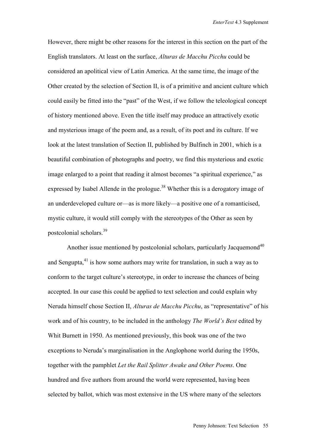However, there might be other reasons for the interest in this section on the part of the English translators. At least on the surface, *Alturas de Macchu Picchu* could be considered an apolitical view of Latin America. At the same time, the image of the Other created by the selection of Section II, is of a primitive and ancient culture which could easily be fitted into the "past" of the West, if we follow the teleological concept of history mentioned above. Even the title itself may produce an attractively exotic and mysterious image of the poem and, as a result, of its poet and its culture. If we look at the latest translation of Section II, published by Bulfinch in 2001, which is a beautiful combination of photographs and poetry, we find this mysterious and exotic image enlarged to a point that reading it almost becomes "a spiritual experience," as expressed by Isabel Allende in the prologue.<sup>38</sup> Whether this is a derogatory image of an underdeveloped culture or—as is more likely—a positive one of a romanticised, mystic culture, it would still comply with the stereotypes of the Other as seen by postcolonial scholars.39

Another issue mentioned by postcolonial scholars, particularly Jacquemond<sup>40</sup> and Sengupta, $41$  is how some authors may write for translation, in such a way as to conform to the target culture's stereotype, in order to increase the chances of being accepted. In our case this could be applied to text selection and could explain why Neruda himself chose Section II, *Alturas de Macchu Picchu*, as "representative" of his work and of his country, to be included in the anthology *The World's Best* edited by Whit Burnett in 1950. As mentioned previously, this book was one of the two exceptions to Neruda's marginalisation in the Anglophone world during the 1950s, together with the pamphlet *Let the Rail Splitter Awake and Other Poems*. One hundred and five authors from around the world were represented, having been selected by ballot, which was most extensive in the US where many of the selectors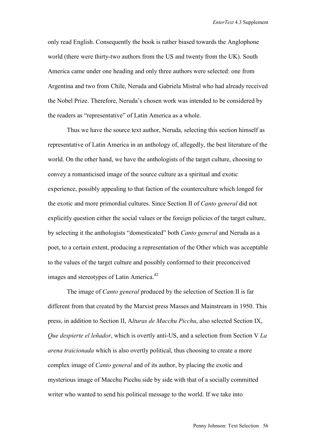only read English. Consequently the book is rather biased towards the Anglophone world (there were thirty-two authors from the US and twenty from the UK). South America came under one heading and only three authors were selected: one from Argentina and two from Chile, Neruda and Gabriela Mistral who had already received the Nobel Prize. Therefore, Neruda's chosen work was intended to be considered by the readers as "representative" of Latin America as a whole.

Thus we have the source text author, Neruda, selecting this section himself as representative of Latin America in an anthology of, allegedly, the best literature of the world. On the other hand, we have the anthologists of the target culture, choosing to convey a romanticised image of the source culture as a spiritual and exotic experience, possibly appealing to that faction of the counterculture which longed for the exotic and more primordial cultures. Since Section II of *Canto general* did not explicitly question either the social values or the foreign policies of the target culture, by selecting it the anthologists "domesticated" both *Canto general* and Neruda as a poet, to a certain extent, producing a representation of the Other which was acceptable to the values of the target culture and possibly conformed to their preconceived images and stereotypes of Latin America.<sup>42</sup>

The image of *Canto general* produced by the selection of Section II is far different from that created by the Marxist press Masses and Mainstream in 1950. This press, in addition to Section II, A*lturas de Macchu Picchu*, also selected Section IX, *Que despierte el leñador*, which is overtly anti-US, and a selection from Section V *La arena traicionada* which is also overtly political, thus choosing to create a more complex image of *Canto general* and of its author, by placing the exotic and mysterious image of Macchu Picchu side by side with that of a socially committed writer who wanted to send his political message to the world. If we take into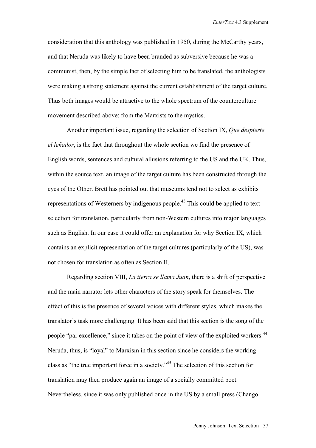consideration that this anthology was published in 1950, during the McCarthy years, and that Neruda was likely to have been branded as subversive because he was a communist, then, by the simple fact of selecting him to be translated, the anthologists were making a strong statement against the current establishment of the target culture. Thus both images would be attractive to the whole spectrum of the counterculture movement described above: from the Marxists to the mystics.

Another important issue, regarding the selection of Section IX, *Que despierte el leñador*, is the fact that throughout the whole section we find the presence of English words, sentences and cultural allusions referring to the US and the UK. Thus, within the source text, an image of the target culture has been constructed through the eyes of the Other. Brett has pointed out that museums tend not to select as exhibits representations of Westerners by indigenous people.43 This could be applied to text selection for translation, particularly from non-Western cultures into major languages such as English. In our case it could offer an explanation for why Section IX, which contains an explicit representation of the target cultures (particularly of the US), was not chosen for translation as often as Section II.

Regarding section VIII, *La tierra se llama Juan*, there is a shift of perspective and the main narrator lets other characters of the story speak for themselves. The effect of this is the presence of several voices with different styles, which makes the translator's task more challenging. It has been said that this section is the song of the people "par excellence," since it takes on the point of view of the exploited workers.<sup>44</sup> Neruda, thus, is "loyal" to Marxism in this section since he considers the working class as "the true important force in a society."45 The selection of this section for translation may then produce again an image of a socially committed poet. Nevertheless, since it was only published once in the US by a small press (Chango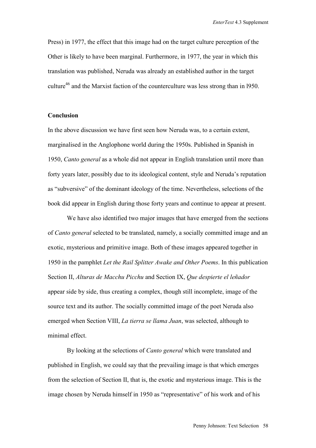Press) in 1977, the effect that this image had on the target culture perception of the Other is likely to have been marginal. Furthermore, in 1977, the year in which this translation was published, Neruda was already an established author in the target culture<sup>46</sup> and the Marxist faction of the counterculture was less strong than in 1950.

### **Conclusion**

In the above discussion we have first seen how Neruda was, to a certain extent, marginalised in the Anglophone world during the 1950s. Published in Spanish in 1950, *Canto general* as a whole did not appear in English translation until more than forty years later, possibly due to its ideological content, style and Neruda's reputation as "subversive" of the dominant ideology of the time. Nevertheless, selections of the book did appear in English during those forty years and continue to appear at present.

We have also identified two major images that have emerged from the sections of *Canto general* selected to be translated, namely, a socially committed image and an exotic, mysterious and primitive image. Both of these images appeared together in 1950 in the pamphlet *Let the Rail Splitter Awake and Other Poems*. In this publication Section II, *Alturas de Macchu Picchu* and Section IX, *Que despierte el leñador* appear side by side, thus creating a complex, though still incomplete, image of the source text and its author. The socially committed image of the poet Neruda also emerged when Section VIII, *La tierra se llama Juan*, was selected, although to minimal effect.

By looking at the selections of *Canto general* which were translated and published in English, we could say that the prevailing image is that which emerges from the selection of Section II, that is, the exotic and mysterious image. This is the image chosen by Neruda himself in 1950 as "representative" of his work and of his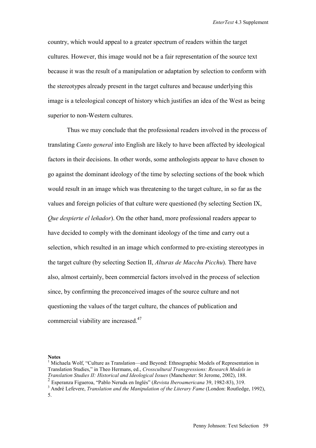country, which would appeal to a greater spectrum of readers within the target cultures. However, this image would not be a fair representation of the source text because it was the result of a manipulation or adaptation by selection to conform with the stereotypes already present in the target cultures and because underlying this image is a teleological concept of history which justifies an idea of the West as being superior to non-Western cultures.

Thus we may conclude that the professional readers involved in the process of translating *Canto general* into English are likely to have been affected by ideological factors in their decisions. In other words, some anthologists appear to have chosen to go against the dominant ideology of the time by selecting sections of the book which would result in an image which was threatening to the target culture, in so far as the values and foreign policies of that culture were questioned (by selecting Section IX, *Que despierte el leñador*). On the other hand, more professional readers appear to have decided to comply with the dominant ideology of the time and carry out a selection, which resulted in an image which conformed to pre-existing stereotypes in the target culture (by selecting Section II, *Alturas de Macchu Picchu*). There have also, almost certainly, been commercial factors involved in the process of selection since, by confirming the preconceived images of the source culture and not questioning the values of the target culture, the chances of publication and commercial viability are increased.47

**Notes** 

<sup>&</sup>lt;sup>1</sup> Michaela Wolf, "Culture as Translation—and Beyond: Ethnographic Models of Representation in Translation Studies," in Theo Hermans, ed., *Crosscultural Transgressions: Research Models in Translation Studies II: Historical and Ideological Issues* (Manchester: St Jerome, 2002), 188.

<sup>&</sup>lt;sup>2</sup> Esperanza Figueroa, "Pablo Neruda en Inglés" (*Revista Iberoamericana* 39, 1982-83), 319.<br><sup>3</sup> André Lofouere, *Translation and the Manipulation of the Literary Eame* (London: Boutledge

<sup>&</sup>lt;sup>3</sup> André Lefevere, *Translation and the Manipulation of the Literary Fame* (London: Routledge, 1992), 5.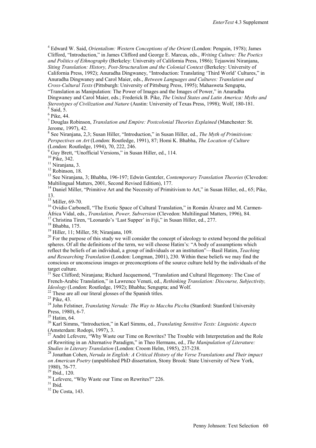4 Edward W. Said, *Orientalism: Western Conceptions of the Orient* (London: Penguin, 1978); James Clifford, "Introduction," in James Clifford and George E. Marcus, eds., *Writing Culture: The Poetics and Politics of Ethnography* (Berkeley: University of California Press, 1986); Tejaswini Niranjana, *Siting Translation: History, Post-Structuralism and the Colonial Context* (Berkeley: University of California Press, 1992); Anuradha Dingwaney, "Introduction: Translating 'Third World' Cultures," in Anuradha Dingwaney and Carol Maier, eds., *Between Languages and Cultures: Translation and* 

*Cross-Cultural Texts* (Pittsburgh: University of Pittsburg Press, 1995); Mahasweta Sengupta, "Translation as Manipulation: The Power of Images and the Images of Power," in Anuradha Dingwaney and Carol Maier, eds.; Frederick B. Pike, *The United States and Latin America: Myths and Stereotypes of Civilization and Nature* (Austin: University of Texas Press, 1998); Wolf, 180-181.  $<sup>5</sup>$  Said, 5.</sup>

6 Pike, 44.

7 Douglas Robinson, *Translation and Empire: Postcolonial Theories Explained* (Manchester: St. Jerome, 1997), 42.

8 See Niranjana, 2,3; Susan Hiller, "Introduction," in Susan Hiller, ed., *The Myth of Primitivism: Perspectives on Art* (London: Routledge, 1991), 87; Homi K. Bhabha, *The Location of Culture* (London: Routledge, 1994), 70, 222, 246.

Guy Brett, "Unofficial Versions," in Susan Hiller, ed., 114.

 $10^{10}$  Pike, 342.

 $11$  Niranjana, 3.

 $12$  Robinson, 18.

13 See Niranjana, 3; Bhabha, 196-197; Edwin Gentzler, *Contemporary Translation Theories* (Clevedon: Multilingual Matters, 2001, Second Revised Edition), 177.

<sup>14</sup> Daniel Miller, "Primitive Art and the Necessity of Primitivism to Art," in Susan Hiller, ed., 65; Pike, 13.

<sup>15</sup> Miller, 69-70.

<sup>16</sup> Ovidio Carbonell, "The Exotic Space of Cultural Translation," in Román Álvarez and M. Carmen-<br>África Vidal, eds., *Translation, Power, Subversion* (Clevedon: Multilingual Matters, 1996), 84. <sup>17</sup> Christina Tiren, "Leonardo's 'Last Supper' in Fiji," in Susan Hiller, ed., 277.

18 Bhabha, 175.

 $19$  Hiller, 11; Miller, 58; Niranjana, 109.

<sup>20</sup> For the purpose of this study we will consider the concept of ideology to extend beyond the political spheres. Of all the definitions of the term, we will choose Hatim's: "A body of assumptions which reflect the beliefs of an individual, a group of individuals or an institution"—Basil Hatim, *Teaching and Researching Translation* (London: Longman, 2001), 230. Within these beliefs we may find the conscious or unconscious images or preconceptions of the source culture held by the individuals of the target culture.

<sup>21</sup> See Clifford; Niranjana; Richard Jacquemond, "Translation and Cultural Hegemony: The Case of French-Arabic Translation," in Lawrence Venuti, ed., *Rethinking Translation: Discourse, Subjectivity, Ideology* (London: Routledge, 1992); Bhabha; Sengupta; and Wolf. <sup>22</sup> These are all our literal glosses of the Spanish titles.

23 Pike, 43.

<sup>24</sup> John Felstiner, *Translating Neruda: The Way to Macchu Picchu* (Stanford: Stanford University Press, 1980), 6-7.

<sup>25</sup> Hatim, 64.

26 Karl Simms, "Introduction," in Karl Simms, ed., *Translating Sensitive Texts: Linguistic Aspects* (Amsterdam: Rodopi, 1997), 3.

 $^{27}$  André Lefevere, "Why Waste our Time on Rewrites? The Trouble with Interpretation and the Role of Rewriting in an Alternative Paradigm," in Theo Hermans, ed., *The Manipulation of Literature: Studies in Literary Translation* (London: Croom Helm, 1985), 237-238.<br><sup>28</sup> Jonathan Cohen, *Neruda in English: A Critical History of the Verse Translations and Their impact* 

*on American Poetry* (unpublished PhD dissertation, Stony Brook: State University of New York, 1980), 76-77.

29 Ibid., 120.

<sup>30</sup> Lefevere, "Why Waste our Time on Rewrites?" 226.

 $31$  Ibid.

 $32$  De Costa, 143.